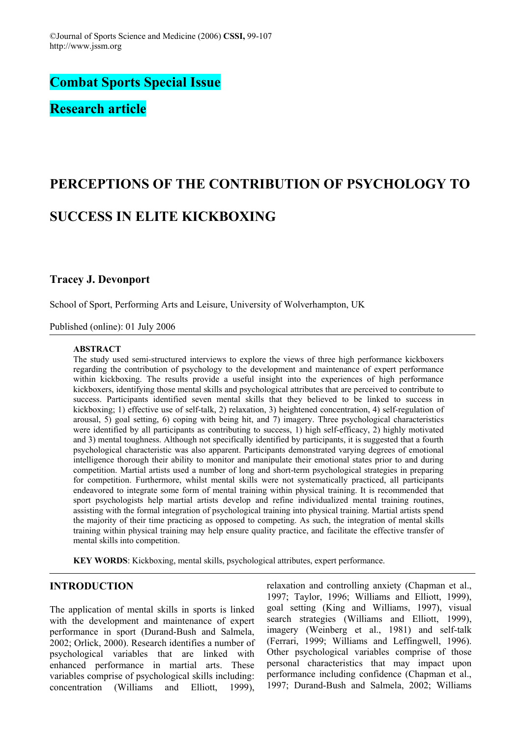**Combat Sports Special Issue** 

**Research article** 

# **PERCEPTIONS OF THE CONTRIBUTION OF PSYCHOLOGY TO SUCCESS IN ELITE KICKBOXING**

# **Tracey J. Devonport**

School of Sport, Performing Arts and Leisure, University of Wolverhampton, UK

Published (online): 01 July 2006

## **ABSTRACT**

The study used semi-structured interviews to explore the views of three high performance kickboxers regarding the contribution of psychology to the development and maintenance of expert performance within kickboxing. The results provide a useful insight into the experiences of high performance kickboxers, identifying those mental skills and psychological attributes that are perceived to contribute to success. Participants identified seven mental skills that they believed to be linked to success in kickboxing; 1) effective use of self-talk, 2) relaxation, 3) heightened concentration, 4) self-regulation of arousal, 5) goal setting, 6) coping with being hit, and 7) imagery. Three psychological characteristics were identified by all participants as contributing to success, 1) high self-efficacy, 2) highly motivated and 3) mental toughness. Although not specifically identified by participants, it is suggested that a fourth psychological characteristic was also apparent. Participants demonstrated varying degrees of emotional intelligence thorough their ability to monitor and manipulate their emotional states prior to and during competition. Martial artists used a number of long and short-term psychological strategies in preparing for competition. Furthermore, whilst mental skills were not systematically practiced, all participants endeavored to integrate some form of mental training within physical training. It is recommended that sport psychologists help martial artists develop and refine individualized mental training routines, assisting with the formal integration of psychological training into physical training. Martial artists spend the majority of their time practicing as opposed to competing. As such, the integration of mental skills training within physical training may help ensure quality practice, and facilitate the effective transfer of mental skills into competition.

**KEY WORDS**: Kickboxing, mental skills, psychological attributes, expert performance.

# **INTRODUCTION**

The application of mental skills in sports is linked with the development and maintenance of expert performance in sport (Durand-Bush and Salmela, 2002; Orlick, 2000). Research identifies a number of psychological variables that are linked with enhanced performance in martial arts. These variables comprise of psychological skills including: concentration (Williams and Elliott, 1999), relaxation and controlling anxiety (Chapman et al., 1997; Taylor, 1996; Williams and Elliott, 1999), goal setting (King and Williams, 1997), visual search strategies (Williams and Elliott, 1999), imagery (Weinberg et al., 1981) and self-talk (Ferrari, 1999; Williams and Leffingwell, 1996). Other psychological variables comprise of those personal characteristics that may impact upon performance including confidence (Chapman et al., 1997; Durand-Bush and Salmela, 2002; Williams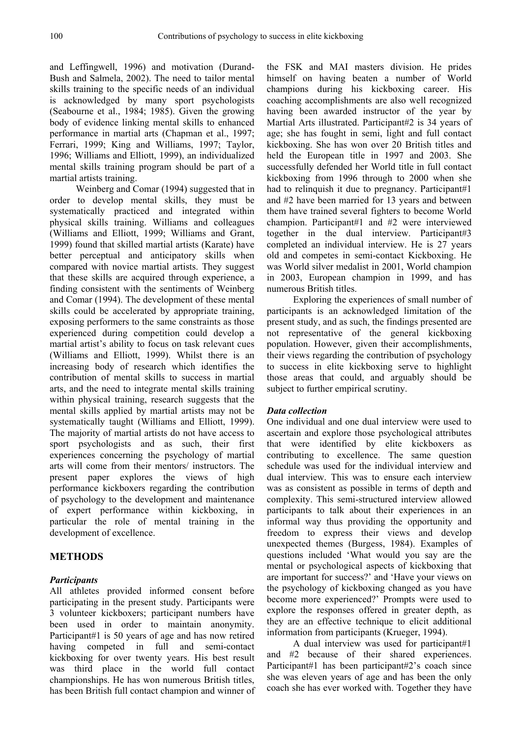and Leffingwell, 1996) and motivation (Durand-Bush and Salmela, 2002). The need to tailor mental skills training to the specific needs of an individual is acknowledged by many sport psychologists (Seabourne et al., 1984; 1985). Given the growing body of evidence linking mental skills to enhanced performance in martial arts (Chapman et al., 1997; Ferrari, 1999; King and Williams, 1997; Taylor, 1996; Williams and Elliott, 1999), an individualized mental skills training program should be part of a martial artists training.

Weinberg and Comar (1994) suggested that in order to develop mental skills, they must be systematically practiced and integrated within physical skills training. Williams and colleagues (Williams and Elliott, 1999; Williams and Grant, 1999) found that skilled martial artists (Karate) have better perceptual and anticipatory skills when compared with novice martial artists. They suggest that these skills are acquired through experience, a finding consistent with the sentiments of Weinberg and Comar (1994). The development of these mental skills could be accelerated by appropriate training, exposing performers to the same constraints as those experienced during competition could develop a martial artist's ability to focus on task relevant cues (Williams and Elliott, 1999). Whilst there is an increasing body of research which identifies the contribution of mental skills to success in martial arts, and the need to integrate mental skills training within physical training, research suggests that the mental skills applied by martial artists may not be systematically taught (Williams and Elliott, 1999). The majority of martial artists do not have access to sport psychologists and as such, their first experiences concerning the psychology of martial arts will come from their mentors/ instructors. The present paper explores the views of high performance kickboxers regarding the contribution of psychology to the development and maintenance of expert performance within kickboxing, in particular the role of mental training in the development of excellence.

# **METHODS**

# *Participants*

All athletes provided informed consent before participating in the present study. Participants were 3 volunteer kickboxers; participant numbers have been used in order to maintain anonymity. Participant#1 is 50 years of age and has now retired having competed in full and semi-contact kickboxing for over twenty years. His best result was third place in the world full contact championships. He has won numerous British titles, has been British full contact champion and winner of the FSK and MAI masters division. He prides himself on having beaten a number of World champions during his kickboxing career. His coaching accomplishments are also well recognized having been awarded instructor of the year by Martial Arts illustrated. Participant#2 is 34 years of age; she has fought in semi, light and full contact kickboxing. She has won over 20 British titles and held the European title in 1997 and 2003. She successfully defended her World title in full contact kickboxing from 1996 through to 2000 when she had to relinquish it due to pregnancy. Participant#1 and #2 have been married for 13 years and between them have trained several fighters to become World champion. Participant#1 and #2 were interviewed together in the dual interview. Participant#3 completed an individual interview. He is 27 years old and competes in semi-contact Kickboxing. He was World silver medalist in 2001, World champion in 2003, European champion in 1999, and has numerous British titles.

Exploring the experiences of small number of participants is an acknowledged limitation of the present study, and as such, the findings presented are not representative of the general kickboxing population. However, given their accomplishments, their views regarding the contribution of psychology to success in elite kickboxing serve to highlight those areas that could, and arguably should be subject to further empirical scrutiny.

#### *Data collection*

One individual and one dual interview were used to ascertain and explore those psychological attributes that were identified by elite kickboxers as contributing to excellence. The same question schedule was used for the individual interview and dual interview. This was to ensure each interview was as consistent as possible in terms of depth and complexity. This semi-structured interview allowed participants to talk about their experiences in an informal way thus providing the opportunity and freedom to express their views and develop unexpected themes (Burgess, 1984). Examples of questions included 'What would you say are the mental or psychological aspects of kickboxing that are important for success?' and 'Have your views on the psychology of kickboxing changed as you have become more experienced?' Prompts were used to explore the responses offered in greater depth, as they are an effective technique to elicit additional information from participants (Krueger, 1994).

A dual interview was used for participant#1 and #2 because of their shared experiences. Participant#1 has been participant#2's coach since she was eleven years of age and has been the only coach she has ever worked with. Together they have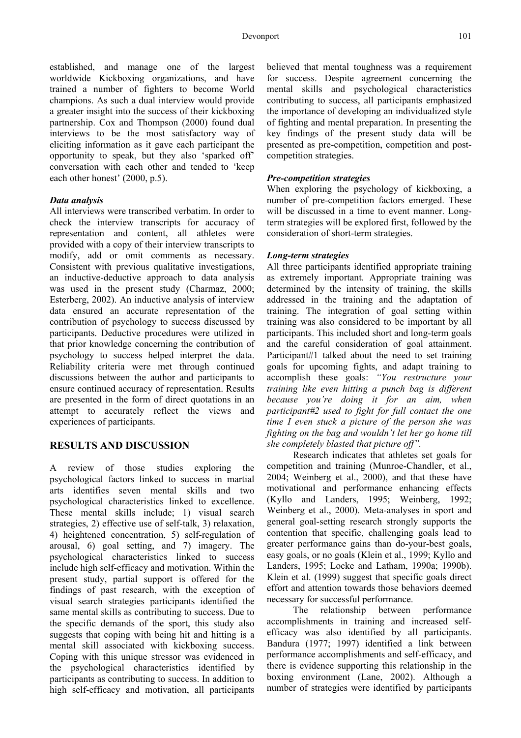established, and manage one of the largest worldwide Kickboxing organizations, and have trained a number of fighters to become World champions. As such a dual interview would provide a greater insight into the success of their kickboxing partnership. Cox and Thompson (2000) found dual interviews to be the most satisfactory way of eliciting information as it gave each participant the opportunity to speak, but they also 'sparked off' conversation with each other and tended to 'keep each other honest' (2000, p.5).

## *Data analysis*

All interviews were transcribed verbatim. In order to check the interview transcripts for accuracy of representation and content, all athletes were provided with a copy of their interview transcripts to modify, add or omit comments as necessary. Consistent with previous qualitative investigations, an inductive-deductive approach to data analysis was used in the present study (Charmaz, 2000; Esterberg, 2002). An inductive analysis of interview data ensured an accurate representation of the contribution of psychology to success discussed by participants. Deductive procedures were utilized in that prior knowledge concerning the contribution of psychology to success helped interpret the data. Reliability criteria were met through continued discussions between the author and participants to ensure continued accuracy of representation. Results are presented in the form of direct quotations in an attempt to accurately reflect the views and experiences of participants.

# **RESULTS AND DISCUSSION**

A review of those studies exploring the psychological factors linked to success in martial arts identifies seven mental skills and two psychological characteristics linked to excellence. These mental skills include; 1) visual search strategies, 2) effective use of self-talk, 3) relaxation, 4) heightened concentration, 5) self-regulation of arousal, 6) goal setting, and 7) imagery. The psychological characteristics linked to success include high self-efficacy and motivation. Within the present study, partial support is offered for the findings of past research, with the exception of visual search strategies participants identified the same mental skills as contributing to success. Due to the specific demands of the sport, this study also suggests that coping with being hit and hitting is a mental skill associated with kickboxing success. Coping with this unique stressor was evidenced in the psychological characteristics identified by participants as contributing to success. In addition to high self-efficacy and motivation, all participants

believed that mental toughness was a requirement for success. Despite agreement concerning the mental skills and psychological characteristics contributing to success, all participants emphasized the importance of developing an individualized style of fighting and mental preparation. In presenting the key findings of the present study data will be presented as pre-competition, competition and postcompetition strategies.

## *Pre-competition strategies*

When exploring the psychology of kickboxing, a number of pre-competition factors emerged. These will be discussed in a time to event manner. Longterm strategies will be explored first, followed by the consideration of short-term strategies.

#### *Long-term strategies*

All three participants identified appropriate training as extremely important. Appropriate training was determined by the intensity of training, the skills addressed in the training and the adaptation of training. The integration of goal setting within training was also considered to be important by all participants. This included short and long-term goals and the careful consideration of goal attainment. Participant#1 talked about the need to set training goals for upcoming fights, and adapt training to accomplish these goals: *"You restructure your training like even hitting a punch bag is different because you're doing it for an aim, when participant#2 used to fight for full contact the one time I even stuck a picture of the person she was fighting on the bag and wouldn't let her go home till she completely blasted that picture off".* 

Research indicates that athletes set goals for competition and training (Munroe-Chandler, et al., 2004; Weinberg et al., 2000), and that these have motivational and performance enhancing effects (Kyllo and Landers, 1995; Weinberg, 1992; Weinberg et al., 2000). Meta-analyses in sport and general goal-setting research strongly supports the contention that specific, challenging goals lead to greater performance gains than do-your-best goals, easy goals, or no goals (Klein et al., 1999; Kyllo and Landers, 1995; Locke and Latham, 1990a; 1990b). Klein et al. (1999) suggest that specific goals direct effort and attention towards those behaviors deemed necessary for successful performance.

The relationship between performance accomplishments in training and increased selfefficacy was also identified by all participants. Bandura (1977; 1997) identified a link between performance accomplishments and self-efficacy, and there is evidence supporting this relationship in the boxing environment (Lane, 2002). Although a number of strategies were identified by participants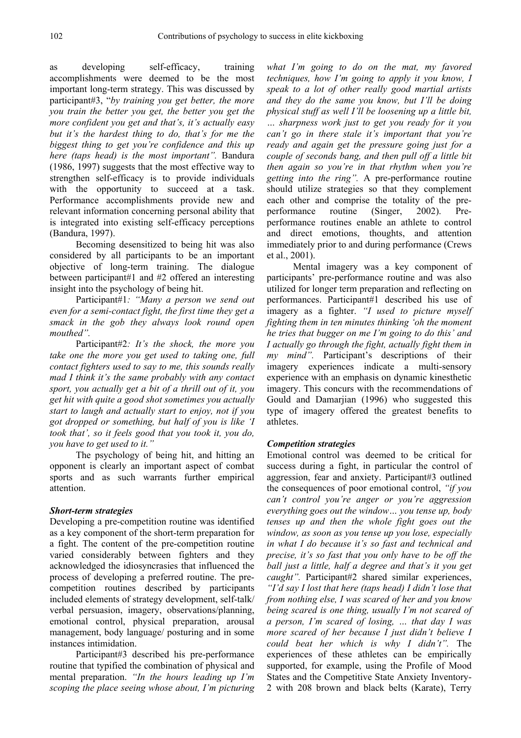as developing self-efficacy, training accomplishments were deemed to be the most important long-term strategy. This was discussed by participant#3, "*by training you get better, the more you train the better you get, the better you get the more confident you get and that's, it's actually easy but it's the hardest thing to do, that's for me the biggest thing to get you're confidence and this up here (taps head) is the most important".* Bandura (1986, 1997) suggests that the most effective way to strengthen self-efficacy is to provide individuals with the opportunity to succeed at a task. Performance accomplishments provide new and relevant information concerning personal ability that is integrated into existing self-efficacy perceptions (Bandura, 1997).

Becoming desensitized to being hit was also considered by all participants to be an important objective of long-term training. The dialogue between participant#1 and #2 offered an interesting insight into the psychology of being hit.

Participant#1*: "Many a person we send out even for a semi-contact fight, the first time they get a smack in the gob they always look round open mouthed".* 

Participant#2*: It's the shock, the more you take one the more you get used to taking one, full contact fighters used to say to me, this sounds really mad I think it's the same probably with any contact sport, you actually get a bit of a thrill out of it, you get hit with quite a good shot sometimes you actually start to laugh and actually start to enjoy, not if you got dropped or something, but half of you is like 'I took that', so it feels good that you took it, you do, you have to get used to it."*

The psychology of being hit, and hitting an opponent is clearly an important aspect of combat sports and as such warrants further empirical attention.

# *Short-term strategies*

Developing a pre-competition routine was identified as a key component of the short-term preparation for a fight. The content of the pre-competition routine varied considerably between fighters and they acknowledged the idiosyncrasies that influenced the process of developing a preferred routine. The precompetition routines described by participants included elements of strategy development, self-talk/ verbal persuasion, imagery, observations/planning, emotional control, physical preparation, arousal management, body language/ posturing and in some instances intimidation.

Participant#3 described his pre-performance routine that typified the combination of physical and mental preparation. *"In the hours leading up I'm scoping the place seeing whose about, I'm picturing* 

*what I'm going to do on the mat, my favored techniques, how I'm going to apply it you know, I speak to a lot of other really good martial artists and they do the same you know, but I'll be doing physical stuff as well I'll be loosening up a little bit, … sharpness work just to get you ready for it you can't go in there stale it's important that you're ready and again get the pressure going just for a couple of seconds bang, and then pull off a little bit then again so you're in that rhythm when you're getting into the ring".* A pre-performance routine should utilize strategies so that they complement each other and comprise the totality of the preperformance routine (Singer, 2002). Preperformance routines enable an athlete to control and direct emotions, thoughts, and attention immediately prior to and during performance (Crews et al., 2001).

Mental imagery was a key component of participants' pre-performance routine and was also utilized for longer term preparation and reflecting on performances. Participant#1 described his use of imagery as a fighter. *"I used to picture myself fighting them in ten minutes thinking 'oh the moment he tries that bugger on me I'm going to do this' and I actually go through the fight, actually fight them in my mind".* Participant's descriptions of their imagery experiences indicate a multi-sensory experience with an emphasis on dynamic kinesthetic imagery. This concurs with the recommendations of Gould and Damarjian (1996) who suggested this type of imagery offered the greatest benefits to athletes.

#### *Competition strategies*

Emotional control was deemed to be critical for success during a fight, in particular the control of aggression, fear and anxiety. Participant#3 outlined the consequences of poor emotional control, *"if you can't control you're anger or you're aggression everything goes out the window… you tense up, body tenses up and then the whole fight goes out the window, as soon as you tense up you lose, especially in what I do because it's so fast and technical and precise, it's so fast that you only have to be off the ball just a little, half a degree and that's it you get caught"*. Participant#2 shared similar experiences, *"I'd say I lost that here (taps head) I didn't lose that from nothing else, I was scared of her and you know being scared is one thing, usually I'm not scared of a person, I'm scared of losing, … that day I was more scared of her because I just didn't believe I could beat her which is why I didn't".* The experiences of these athletes can be empirically supported, for example, using the Profile of Mood States and the Competitive State Anxiety Inventory-2 with 208 brown and black belts (Karate), Terry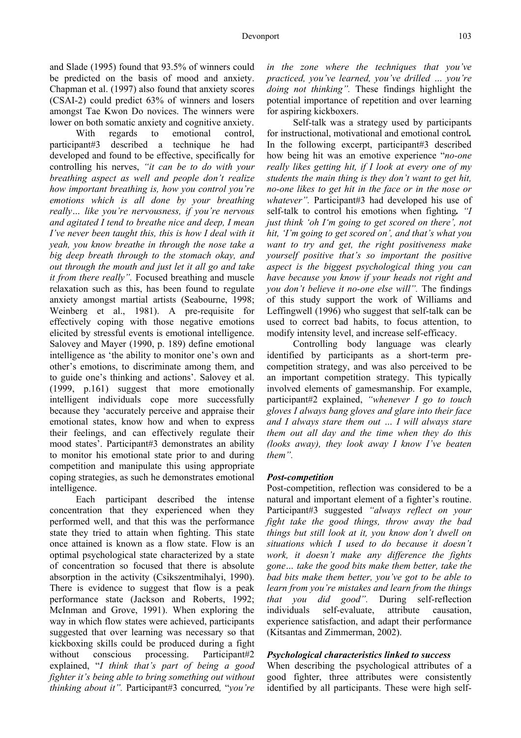and Slade (1995) found that 93.5% of winners could be predicted on the basis of mood and anxiety. Chapman et al. (1997) also found that anxiety scores (CSAI-2) could predict 63% of winners and losers amongst Tae Kwon Do novices. The winners were lower on both somatic anxiety and cognitive anxiety.

With regards to emotional control, participant#3 described a technique he had developed and found to be effective, specifically for controlling his nerves, *"it can be to do with your breathing aspect as well and people don't realize how important breathing is, how you control you're emotions which is all done by your breathing really… like you're nervousness, if you're nervous and agitated I tend to breathe nice and deep, I mean I've never been taught this, this is how I deal with it yeah, you know breathe in through the nose take a big deep breath through to the stomach okay, and out through the mouth and just let it all go and take it from there really".* Focused breathing and muscle relaxation such as this, has been found to regulate anxiety amongst martial artists (Seabourne, 1998; Weinberg et al., 1981). A pre-requisite for effectively coping with those negative emotions elicited by stressful events is emotional intelligence. Salovey and Mayer (1990, p. 189) define emotional intelligence as 'the ability to monitor one's own and other's emotions, to discriminate among them, and to guide one's thinking and actions'. Salovey et al. (1999, p.161) suggest that more emotionally intelligent individuals cope more successfully because they 'accurately perceive and appraise their emotional states, know how and when to express their feelings, and can effectively regulate their mood states'. Participant#3 demonstrates an ability to monitor his emotional state prior to and during competition and manipulate this using appropriate coping strategies, as such he demonstrates emotional intelligence.

Each participant described the intense concentration that they experienced when they performed well, and that this was the performance state they tried to attain when fighting. This state once attained is known as a flow state. Flow is an optimal psychological state characterized by a state of concentration so focused that there is absolute absorption in the activity (Csikszentmihalyi, 1990). There is evidence to suggest that flow is a peak performance state (Jackson and Roberts, 1992; McInman and Grove, 1991). When exploring the way in which flow states were achieved, participants suggested that over learning was necessary so that kickboxing skills could be produced during a fight without conscious processing. Participant#2 explained, "*I think that's part of being a good fighter it's being able to bring something out without thinking about it".* Participant#3 concurred*,* "*you're* 

*in the zone where the techniques that you've practiced, you've learned, you've drilled … you're doing not thinking".* These findings highlight the potential importance of repetition and over learning for aspiring kickboxers.

Self-talk was a strategy used by participants for instructional, motivational and emotional control*.*  In the following excerpt, participant#3 described how being hit was an emotive experience "*no-one really likes getting hit, if I look at every one of my students the main thing is they don't want to get hit, no-one likes to get hit in the face or in the nose or whatever"*. Participant#3 had developed his use of self-talk to control his emotions when fighting*. "I just think 'oh I'm going to get scored on there', not hit, 'I'm going to get scored on', and that's what you want to try and get, the right positiveness make yourself positive that's so important the positive aspect is the biggest psychological thing you can have because you know if your heads not right and you don't believe it no-one else will".* The findings of this study support the work of Williams and Leffingwell (1996) who suggest that self-talk can be used to correct bad habits, to focus attention, to modify intensity level, and increase self-efficacy.

Controlling body language was clearly identified by participants as a short-term precompetition strategy, and was also perceived to be an important competition strategy. This typically involved elements of gamesmanship. For example, participant#2 explained, *"whenever I go to touch gloves I always bang gloves and glare into their face and I always stare them out … I will always stare them out all day and the time when they do this (looks away), they look away I know I've beaten them".*

#### *Post-competition*

Post-competition, reflection was considered to be a natural and important element of a fighter's routine. Participant#3 suggested *"always reflect on your fight take the good things, throw away the bad things but still look at it, you know don't dwell on situations which I used to do because it doesn't work, it doesn't make any difference the fights gone… take the good bits make them better, take the bad bits make them better, you've got to be able to learn from you're mistakes and learn from the things that you did good".* During self-reflection individuals self-evaluate, attribute causation, experience satisfaction, and adapt their performance (Kitsantas and Zimmerman, 2002).

#### *Psychological characteristics linked to success*

When describing the psychological attributes of a good fighter, three attributes were consistently identified by all participants. These were high self-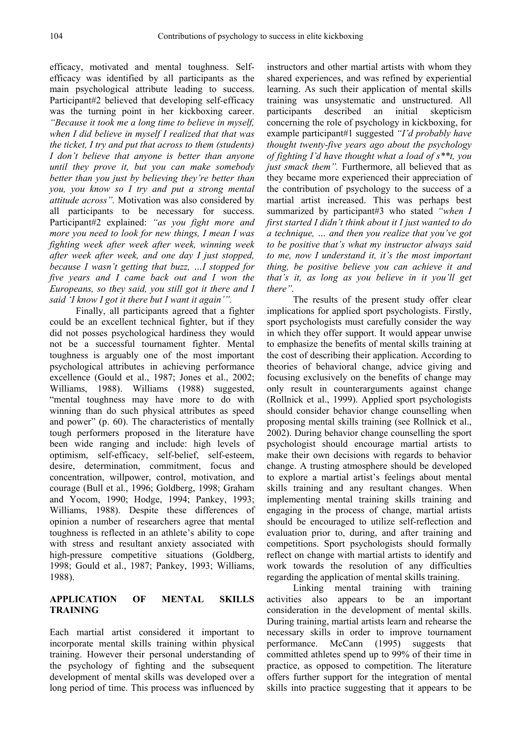efficacy, motivated and mental toughness. Selfefficacy was identified by all participants as the main psychological attribute leading to success. Participant#2 believed that developing self-efficacy was the turning point in her kickboxing career. *"Because it took me a long time to believe in myself, when I did believe in myself I realized that that was the ticket, I try and put that across to them (students) I don't believe that anyone is better than anyone until they prove it, but you can make somebody better than you just by believing they're better than you, you know so I try and put a strong mental attitude across".* Motivation was also considered by all participants to be necessary for success. Participant#2 explained: *"as you fight more and more you need to look for new things, I mean I was fighting week after week after week, winning week after week after week, and one day I just stopped, because I wasn't getting that buzz, …I stopped for five years and I came back out and I won the Europeans, so they said, you still got it there and I said 'I know I got it there but I want it again'".* 

Finally, all participants agreed that a fighter could be an excellent technical fighter, but if they did not posses psychological hardiness they would not be a successful tournament fighter. Mental toughness is arguably one of the most important psychological attributes in achieving performance excellence (Gould et al., 1987; Jones et al., 2002; Williams, 1988). Williams (1988) suggested, "mental toughness may have more to do with winning than do such physical attributes as speed and power" (p. 60). The characteristics of mentally tough performers proposed in the literature have been wide ranging and include: high levels of optimism, self-efficacy, self-belief, self-esteem, desire, determination, commitment, focus and concentration, willpower, control, motivation, and courage (Bull et al., 1996; Goldberg, 1998; Graham and Yocom, 1990; Hodge, 1994; Pankey, 1993; Williams, 1988). Despite these differences of opinion a number of researchers agree that mental toughness is reflected in an athlete's ability to cope with stress and resultant anxiety associated with high-pressure competitive situations (Goldberg, 1998; Gould et al., 1987; Pankey, 1993; Williams, 1988).

# **APPLICATION OF MENTAL SKILLS TRAINING**

Each martial artist considered it important to incorporate mental skills training within physical training. However their personal understanding of the psychology of fighting and the subsequent development of mental skills was developed over a long period of time. This process was influenced by

instructors and other martial artists with whom they shared experiences, and was refined by experiential learning. As such their application of mental skills training was unsystematic and unstructured. All participants described an initial skepticism concerning the role of psychology in kickboxing, for example participant#1 suggested *"I'd probably have thought twenty-five years ago about the psychology of fighting I'd have thought what a load of s\*\*t, you just smack them".* Furthermore, all believed that as they became more experienced their appreciation of the contribution of psychology to the success of a martial artist increased. This was perhaps best summarized by participant#3 who stated *"when I first started I didn't think about it I just wanted to do a technique, … and then you realize that you've got to be positive that's what my instructor always said to me, now I understand it, it's the most important thing, be positive believe you can achieve it and that's it, as long as you believe in it you'll get there".*

The results of the present study offer clear implications for applied sport psychologists. Firstly, sport psychologists must carefully consider the way in which they offer support. It would appear unwise to emphasize the benefits of mental skills training at the cost of describing their application. According to theories of behavioral change, advice giving and focusing exclusively on the benefits of change may only result in counterarguments against change (Rollnick et al., 1999). Applied sport psychologists should consider behavior change counselling when proposing mental skills training (see Rollnick et al., 2002). During behavior change counselling the sport psychologist should encourage martial artists to make their own decisions with regards to behavior change. A trusting atmosphere should be developed to explore a martial artist's feelings about mental skills training and any resultant changes. When implementing mental training skills training and engaging in the process of change, martial artists should be encouraged to utilize self-reflection and evaluation prior to, during, and after training and competitions. Sport psychologists should formally reflect on change with martial artists to identify and work towards the resolution of any difficulties regarding the application of mental skills training.

Linking mental training with training activities also appears to be an important consideration in the development of mental skills. During training, martial artists learn and rehearse the necessary skills in order to improve tournament performance. McCann (1995) suggests that committed athletes spend up to 99% of their time in practice, as opposed to competition. The literature offers further support for the integration of mental skills into practice suggesting that it appears to be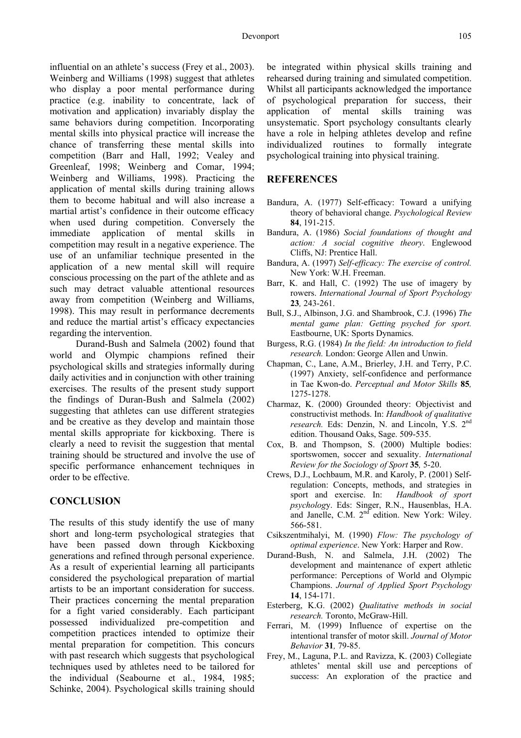influential on an athlete's success (Frey et al., 2003). Weinberg and Williams (1998) suggest that athletes who display a poor mental performance during practice (e.g. inability to concentrate, lack of motivation and application) invariably display the same behaviors during competition. Incorporating mental skills into physical practice will increase the chance of transferring these mental skills into competition (Barr and Hall, 1992; Vealey and Greenleaf, 1998; Weinberg and Comar, 1994; Weinberg and Williams, 1998). Practicing the application of mental skills during training allows them to become habitual and will also increase a martial artist's confidence in their outcome efficacy when used during competition. Conversely the immediate application of mental skills in competition may result in a negative experience. The use of an unfamiliar technique presented in the application of a new mental skill will require conscious processing on the part of the athlete and as such may detract valuable attentional resources away from competition (Weinberg and Williams, 1998). This may result in performance decrements and reduce the martial artist's efficacy expectancies regarding the intervention.

Durand-Bush and Salmela (2002) found that world and Olympic champions refined their psychological skills and strategies informally during daily activities and in conjunction with other training exercises. The results of the present study support the findings of Duran-Bush and Salmela (2002) suggesting that athletes can use different strategies and be creative as they develop and maintain those mental skills appropriate for kickboxing. There is clearly a need to revisit the suggestion that mental training should be structured and involve the use of specific performance enhancement techniques in order to be effective.

# **CONCLUSION**

The results of this study identify the use of many short and long-term psychological strategies that have been passed down through Kickboxing generations and refined through personal experience. As a result of experiential learning all participants considered the psychological preparation of martial artists to be an important consideration for success. Their practices concerning the mental preparation for a fight varied considerably. Each participant possessed individualized pre-competition and competition practices intended to optimize their mental preparation for competition. This concurs with past research which suggests that psychological techniques used by athletes need to be tailored for the individual (Seabourne et al., 1984, 1985; Schinke, 2004). Psychological skills training should

be integrated within physical skills training and rehearsed during training and simulated competition. Whilst all participants acknowledged the importance of psychological preparation for success, their application of mental skills training was unsystematic. Sport psychology consultants clearly have a role in helping athletes develop and refine individualized routines to formally integrate psychological training into physical training.

#### **REFERENCES**

- Bandura, A. (1977) Self-efficacy: Toward a unifying theory of behavioral change. *Psychological Review* **84**, 191-215.
- Bandura, A. (1986) *Social foundations of thought and action: A social cognitive theory*. Englewood Cliffs, NJ: Prentice Hall.
- Bandura, A. (1997) *Self-efficacy: The exercise of control.*  New York: W.H. Freeman.
- Barr, K. and Hall, C. (1992) The use of imagery by rowers. *International Journal of Sport Psychology*  **23***,* 243-261.
- Bull, S.J., Albinson, J.G. and Shambrook, C.J. (1996) *The mental game plan: Getting psyched for sport.*  Eastbourne, UK: Sports Dynamics.
- Burgess, R.G. (1984) *In the field: An introduction to field research.* London: George Allen and Unwin.
- Chapman, C., Lane, A.M., Brierley, J.H. and Terry, P.C. (1997) Anxiety, self-confidence and performance in Tae Kwon-do. *Perceptual and Motor Skills* **85***,* 1275-1278.
- Charmaz, K. (2000) Grounded theory: Objectivist and constructivist methods. In: *Handbook of qualitative research.* Eds: Denzin, N. and Lincoln, Y.S. 2<sup>nd</sup> edition. Thousand Oaks, Sage. 509-535.
- Cox, B. and Thompson, S. (2000) Multiple bodies: sportswomen, soccer and sexuality. *International Review for the Sociology of Sport* **35***,* 5-20.
- Crews, D.J., Lochbaum, M.R. and Karoly, P. (2001) Selfregulation: Concepts, methods, and strategies in sport and exercise. In: *Handbook of sport psycholog*y. Eds: Singer, R.N., Hausenblas, H.A. and Janelle, C.M. 2<sup>nd</sup> edition. New York: Wiley. 566-581.
- Csikszentmihalyi, M. (1990) *Flow: The psychology of optimal experience*. New York: Harper and Row.
- Durand-Bush, N. and Salmela, J.H. (2002) The development and maintenance of expert athletic performance: Perceptions of World and Olympic Champions. *Journal of Applied Sport Psychology*  **14**, 154-171.
- Esterberg, K.G. (2002) *Qualitative methods in social research.* Toronto, McGraw-Hill.
- Ferrari, M. (1999) Influence of expertise on the intentional transfer of motor skill. *Journal of Motor Behavior* **31***,* 79-85.
- Frey, M., Laguna, P.L. and Ravizza, K. (2003) Collegiate athletes' mental skill use and perceptions of success: An exploration of the practice and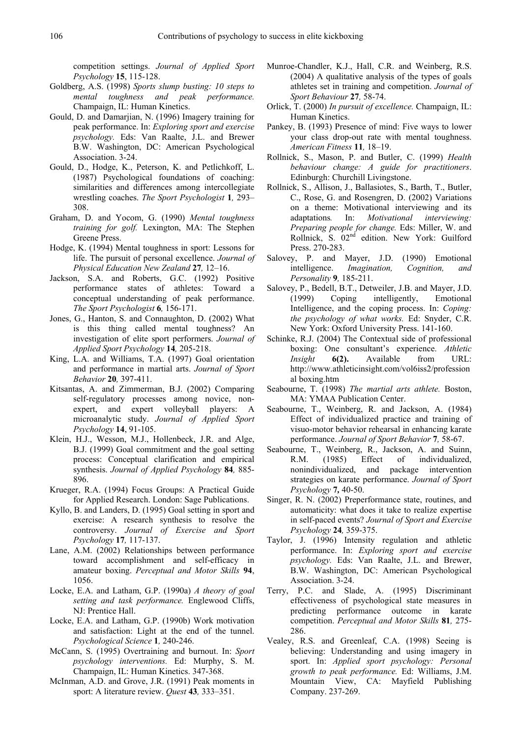competition settings. *Journal of Applied Sport Psychology* **15**, 115-128.

- Goldberg, A.S. (1998) *Sports slump busting: 10 steps to mental toughness and peak performance.*  Champaign, IL: Human Kinetics.
- Gould, D. and Damarjian, N. (1996) Imagery training for peak performance. In: *Exploring sport and exercise psychology.* Eds: Van Raalte, J.L. and Brewer B.W. Washington, DC: American Psychological Association. 3-24.
- Gould, D., Hodge, K., Peterson, K. and Petlichkoff, L. (1987) Psychological foundations of coaching: similarities and differences among intercollegiate wrestling coaches. *The Sport Psychologist* **1***,* 293– 308.
- Graham, D. and Yocom, G. (1990) *Mental toughness training for golf.* Lexington, MA: The Stephen Greene Press.
- Hodge, K. (1994) Mental toughness in sport: Lessons for life. The pursuit of personal excellence. *Journal of Physical Education New Zealand* **27***,* 12–16.
- Jackson, S.A. and Roberts, G.C. (1992) Positive performance states of athletes: Toward a conceptual understanding of peak performance. *The Sport Psychologist* **6***,* 156-171.
- Jones, G., Hanton, S. and Connaughton, D. (2002) What is this thing called mental toughness? An investigation of elite sport performers. *Journal of Applied Sport Psychology* **14***,* 205-218.
- King, L.A. and Williams, T.A. (1997) Goal orientation and performance in martial arts. *Journal of Sport Behavior* **20***,* 397-411.
- Kitsantas, A. and Zimmerman, B.J. (2002) Comparing self-regulatory processes among novice, nonexpert, and expert volleyball players: A microanalytic study. *Journal of Applied Sport Psychology* **14**, 91-105.
- Klein, H.J., Wesson, M.J., Hollenbeck, J.R. and Alge, B.J. (1999) Goal commitment and the goal setting process: Conceptual clarification and empirical synthesis. *Journal of Applied Psychology* **84***,* 885- 896.
- Krueger, R.A. (1994) Focus Groups: A Practical Guide for Applied Research. London: Sage Publications.
- Kyllo, B. and Landers, D. (1995) Goal setting in sport and exercise: A research synthesis to resolve the controversy. *Journal of Exercise and Sport Psychology* **17***,* 117-137.
- Lane, A.M. (2002) Relationships between performance toward accomplishment and self-efficacy in amateur boxing. *Perceptual and Motor Skills* **94**, 1056.
- Locke, E.A. and Latham, G.P. (1990a) *A theory of goal setting and task performance.* Englewood Cliffs, NJ: Prentice Hall.
- Locke, E.A. and Latham, G.P. (1990b) Work motivation and satisfaction: Light at the end of the tunnel. *Psychological Science* **1***,* 240-246.
- McCann, S. (1995) Overtraining and burnout. In: *Sport psychology interventions.* Ed: Murphy, S. M. Champaign, IL: Human Kinetics. 347-368.
- McInman, A.D. and Grove, J.R. (1991) Peak moments in sport: A literature review. *Quest* **43***,* 333–351.
- Munroe-Chandler, K.J., Hall, C.R. and Weinberg, R.S. (2004) A qualitative analysis of the types of goals athletes set in training and competition. *Journal of Sport Behaviour* **27***,* 58-74.
- Orlick, T. (2000) *In pursuit of excellence.* Champaign, IL: Human Kinetics.
- Pankey, B. (1993) Presence of mind: Five ways to lower your class drop-out rate with mental toughness. *American Fitness* **11***,* 18–19.
- Rollnick, S., Mason, P. and Butler, C. (1999) *Health behaviour change: A guide for practitioners*. Edinburgh: Churchill Livingstone.
- Rollnick, S., Allison, J., Ballasiotes, S., Barth, T., Butler, C., Rose, G. and Rosengren, D. (2002) Variations on a theme: Motivational interviewing and its adaptations*.* In: *Motivational interviewing: Preparing people for change.* Eds: Miller, W. and Rollnick, S. 02<sup>nd</sup> edition. New York: Guilford Press. 270-283.
- Salovey, P. and Mayer, J.D. (1990) Emotional intelligence. *Imagination, Cognition, and Personality* **9***,* 185-211.
- Salovey, P., Bedell, B.T., Detweiler, J.B. and Mayer, J.D. (1999) Coping intelligently, Emotional Intelligence, and the coping process. In: *Coping: the psychology of what works.* Ed: Snyder, C.R. New York: Oxford University Press. 141-160.
- Schinke, R.J. (2004) The Contextual side of professional boxing: One consultant's experience. *Athletic Insight* **6(2).** Available from URL: http://www.athleticinsight.com/vol6iss2/profession al boxing.htm
- Seabourne, T. (1998) *The martial arts athlete.* Boston, MA: YMAA Publication Center.
- Seabourne, T., Weinberg, R. and Jackson, A. (1984) Effect of individualized practice and training of visuo-motor behavior rehearsal in enhancing karate performance. *Journal of Sport Behavior* **7***,* 58-67.
- Seabourne, T., Weinberg, R., Jackson, A. and Suinn, R.M. (1985) Effect of individualized, nonindividualized, and package intervention strategies on karate performance. *Journal of Sport Psychology* **7***,* 40-50.
- Singer, R. N. (2002) Preperformance state, routines, and automaticity: what does it take to realize expertise in self-paced events? *Journal of Sport and Exercise Psychology* **24***,* 359-375.
- Taylor, J. (1996) Intensity regulation and athletic performance. In: *Exploring sport and exercise psychology.* Eds: Van Raalte, J.L. and Brewer, B.W. Washington, DC: American Psychological Association. 3-24.
- Terry, P.C. and Slade, A. (1995) Discriminant effectiveness of psychological state measures in predicting performance outcome in karate competition. *Perceptual and Motor Skills* **81***,* 275- 286.
- Vealey, R.S. and Greenleaf, C.A. (1998) Seeing is believing: Understanding and using imagery in sport. In: *Applied sport psychology: Personal growth to peak performance.* Ed: Williams, J.M. Mountain View, CA: Mayfield Publishing Company. 237-269.